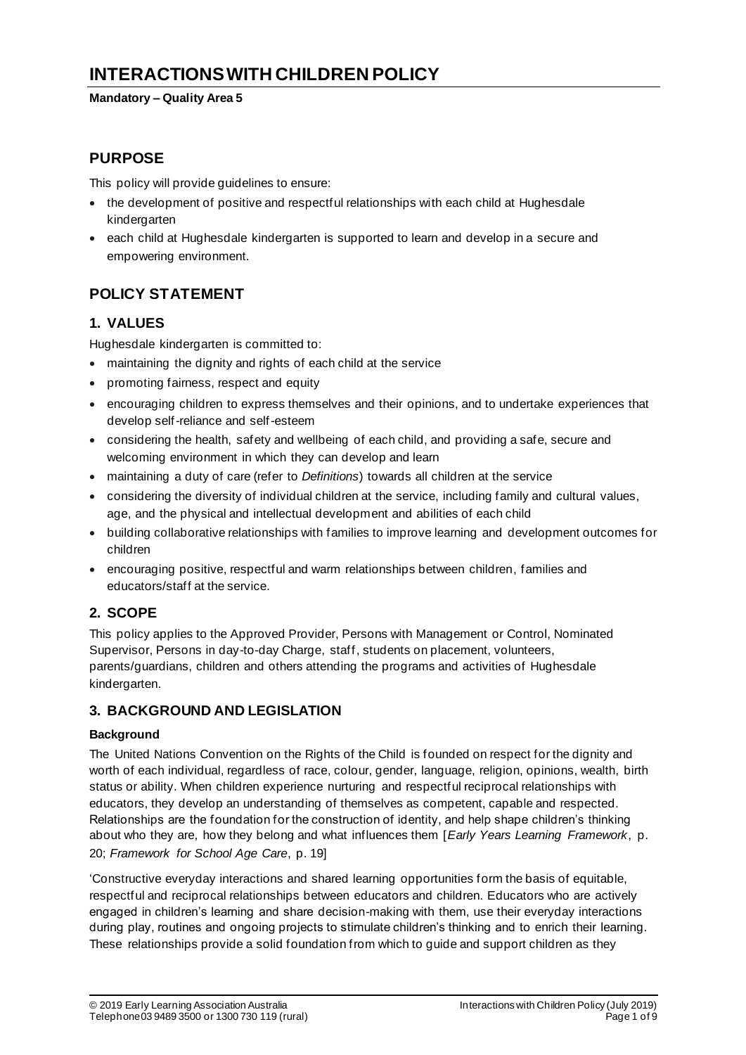# **INTERACTIONS WITH CHILDREN POLICY**

#### **Mandatory – Quality Area 5**

## **PURPOSE**

This policy will provide guidelines to ensure:

- the development of positive and respectful relationships with each child at Hughesdale kindergarten
- each child at Hughesdale kindergarten is supported to learn and develop in a secure and empowering environment.

# **POLICY STATEMENT**

## **1. VALUES**

Hughesdale kindergarten is committed to:

- maintaining the dignity and rights of each child at the service
- promoting fairness, respect and equity
- encouraging children to express themselves and their opinions, and to undertake experiences that develop self-reliance and self-esteem
- considering the health, safety and wellbeing of each child, and providing a safe, secure and welcoming environment in which they can develop and learn
- maintaining a duty of care (refer to *Definitions*) towards all children at the service
- considering the diversity of individual children at the service, including family and cultural values, age, and the physical and intellectual development and abilities of each child
- building collaborative relationships with families to improve learning and development outcomes for children
- encouraging positive, respectful and warm relationships between children, families and educators/staff at the service.

## **2. SCOPE**

This policy applies to the Approved Provider, Persons with Management or Control, Nominated Supervisor, Persons in day-to-day Charge, staff, students on placement, volunteers, parents/guardians, children and others attending the programs and activities of Hughesdale kindergarten.

## **3. BACKGROUND AND LEGISLATION**

#### **Background**

The United Nations Convention on the Rights of the Child is founded on respect for the dignity and worth of each individual, regardless of race, colour, gender, language, religion, opinions, wealth, birth status or ability. When children experience nurturing and respectful reciprocal relationships with educators, they develop an understanding of themselves as competent, capable and respected. Relationships are the foundation for the construction of identity, and help shape children's thinking about who they are, how they belong and what influences them [*Early Years Learning Framework*, p. 20; *Framework for School Age Care*, p. 19]

'Constructive everyday interactions and shared learning opportunities form the basis of equitable, respectful and reciprocal relationships between educators and children. Educators who are actively engaged in children's learning and share decision-making with them, use their everyday interactions during play, routines and ongoing projects to stimulate children's thinking and to enrich their learning. These relationships provide a solid foundation from which to guide and support children as they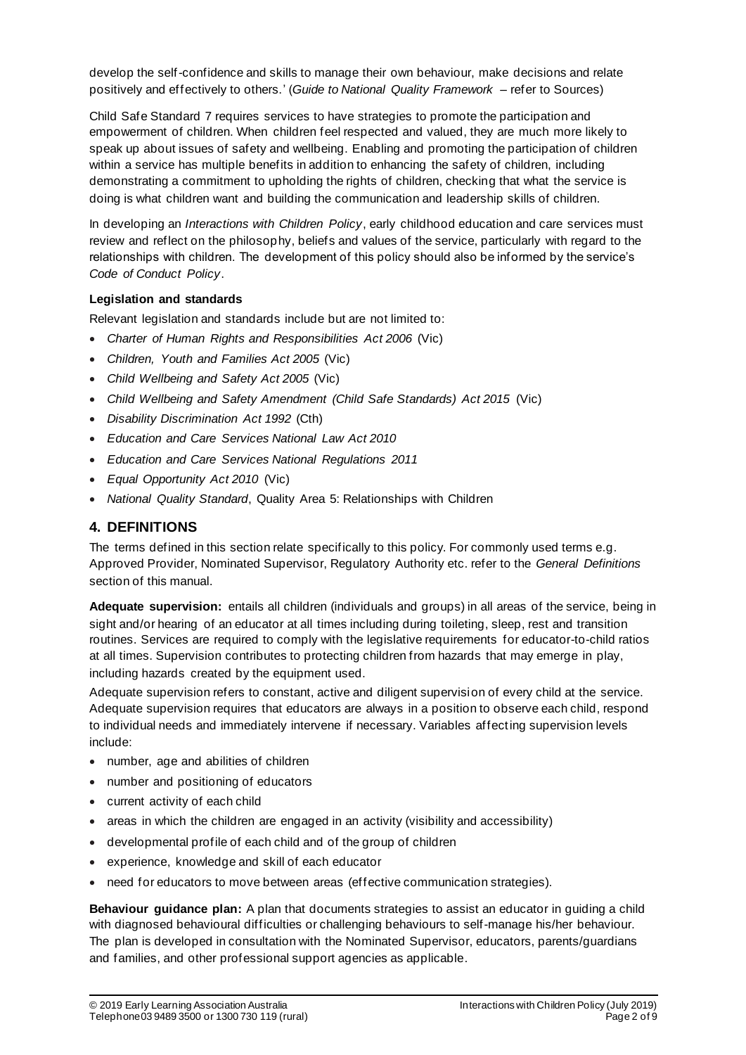develop the self-confidence and skills to manage their own behaviour, make decisions and relate positively and effectively to others.' (*Guide to National Quality Framework* – refer to Sources)

Child Safe Standard 7 requires services to have strategies to promote the participation and empowerment of children. When children feel respected and valued, they are much more likely to speak up about issues of safety and wellbeing. Enabling and promoting the participation of children within a service has multiple benefits in addition to enhancing the safety of children, including demonstrating a commitment to upholding the rights of children, checking that what the service is doing is what children want and building the communication and leadership skills of children.

In developing an *Interactions with Children Policy*, early childhood education and care services must review and reflect on the philosophy, beliefs and values of the service, particularly with regard to the relationships with children. The development of this policy should also be informed by the service's *Code of Conduct Policy*.

#### **Legislation and standards**

Relevant legislation and standards include but are not limited to:

- *Charter of Human Rights and Responsibilities Act 2006* (Vic)
- *Children, Youth and Families Act 2005* (Vic)
- *Child Wellbeing and Safety Act 2005* (Vic)
- *Child Wellbeing and Safety Amendment (Child Safe Standards) Act 2015* (Vic)
- *Disability Discrimination Act 1992* (Cth)
- *Education and Care Services National Law Act 2010*
- *Education and Care Services National Regulations 2011*
- *Equal Opportunity Act 2010* (Vic)
- *National Quality Standard*, Quality Area 5: Relationships with Children

#### **4. DEFINITIONS**

The terms defined in this section relate specifically to this policy. For commonly used terms e.g. Approved Provider, Nominated Supervisor, Regulatory Authority etc. refer to the *General Definitions* section of this manual.

**Adequate supervision:** entails all children (individuals and groups) in all areas of the service, being in sight and/or hearing of an educator at all times including during toileting, sleep, rest and transition routines. Services are required to comply with the legislative requirements for educator-to-child ratios at all times. Supervision contributes to protecting children from hazards that may emerge in play, including hazards created by the equipment used.

Adequate supervision refers to constant, active and diligent supervision of every child at the service. Adequate supervision requires that educators are always in a position to observe each child, respond to individual needs and immediately intervene if necessary. Variables affecting supervision levels include:

- number, age and abilities of children
- number and positioning of educators
- current activity of each child
- areas in which the children are engaged in an activity (visibility and accessibility)
- developmental profile of each child and of the group of children
- experience, knowledge and skill of each educator
- need for educators to move between areas (effective communication strategies).

**Behaviour guidance plan:** A plan that documents strategies to assist an educator in guiding a child with diagnosed behavioural difficulties or challenging behaviours to self-manage his/her behaviour. The plan is developed in consultation with the Nominated Supervisor, educators, parents/guardians and families, and other professional support agencies as applicable.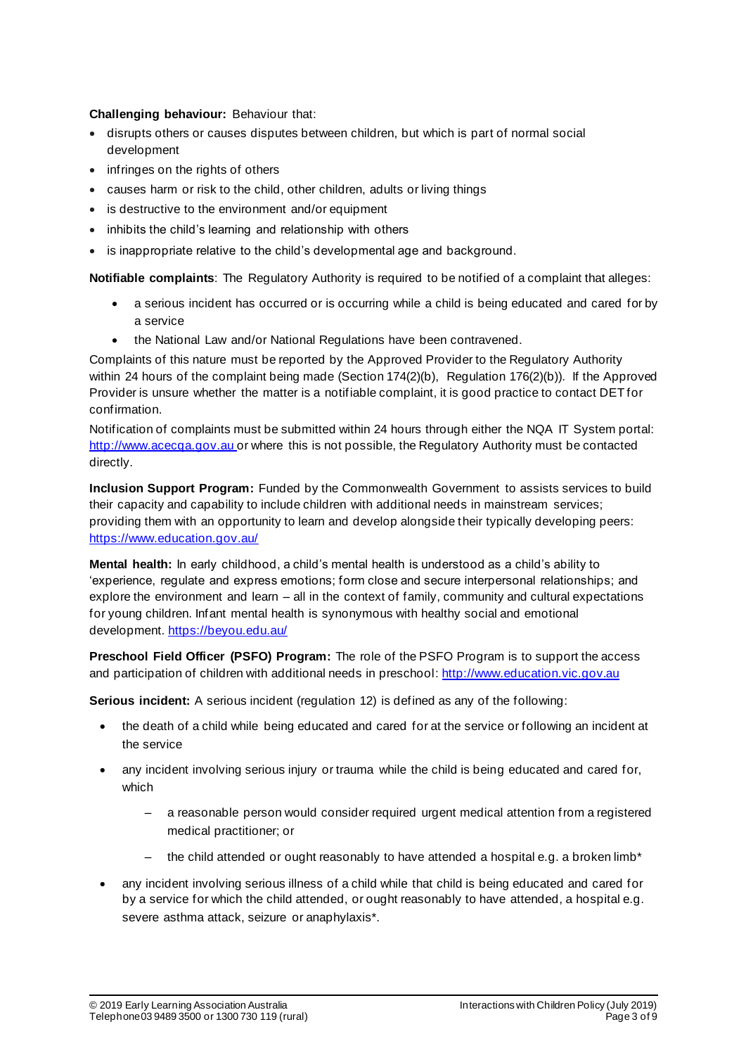#### **Challenging behaviour:** Behaviour that:

- disrupts others or causes disputes between children, but which is part of normal social development
- infringes on the rights of others
- causes harm or risk to the child, other children, adults or living things
- is destructive to the environment and/or equipment
- inhibits the child's learning and relationship with others
- is inappropriate relative to the child's developmental age and background.

**Notifiable complaints**: The Regulatory Authority is required to be notified of a complaint that alleges:

- a serious incident has occurred or is occurring while a child is being educated and cared for by a service
- the National Law and/or National Regulations have been contravened.

Complaints of this nature must be reported by the Approved Provider to the Regulatory Authority within 24 hours of the complaint being made (Section 174(2)(b), Regulation 176(2)(b)). If the Approved Provider is unsure whether the matter is a notifiable complaint, it is good practice to contact DET for confirmation.

Notification of complaints must be submitted within 24 hours through either the NQA IT System portal: http://www.acecqa.gov.au or where this is not possible, the Regulatory Authority must be contacted directly.

**Inclusion Support Program:** Funded by the Commonwealth Government to assists services to build their capacity and capability to include children with additional needs in mainstream services; providing them with an opportunity to learn and develop alongside their typically developing peers: https://www.education.gov.au/

**Mental health:** In early childhood, a child's mental health is understood as a child's ability to 'experience, regulate and express emotions; form close and secure interpersonal relationships; and explore the environment and learn – all in the context of family, community and cultural expectations for young children. Infant mental health is synonymous with healthy social and emotional development. https://beyou.edu.au/

**Preschool Field Officer (PSFO) Program:** The role of the PSFO Program is to support the access and participation of children with additional needs in preschool: http://www.education.vic.gov.au

**Serious incident:** A serious incident (regulation 12) is defined as any of the following:

- the death of a child while being educated and cared for at the service or following an incident at the service
- any incident involving serious injury or trauma while the child is being educated and cared for, which
	- a reasonable person would consider required urgent medical attention from a registered medical practitioner; or
	- the child attended or ought reasonably to have attended a hospital e.g. a broken limb\*
- any incident involving serious illness of a child while that child is being educated and cared for by a service for which the child attended, or ought reasonably to have attended, a hospital e.g. severe asthma attack, seizure or anaphylaxis\*.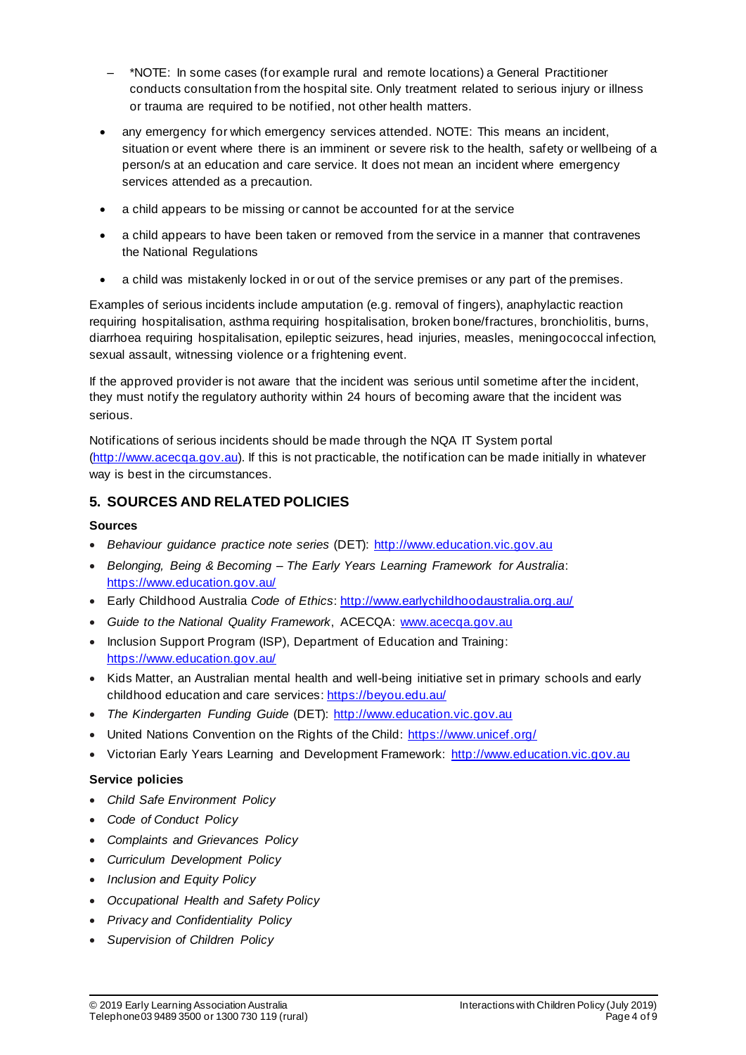- \*NOTE: In some cases (for example rural and remote locations) a General Practitioner conducts consultation from the hospital site. Only treatment related to serious injury or illness or trauma are required to be notified, not other health matters.
- any emergency for which emergency services attended. NOTE: This means an incident, situation or event where there is an imminent or severe risk to the health, safety or wellbeing of a person/s at an education and care service. It does not mean an incident where emergency services attended as a precaution.
- a child appears to be missing or cannot be accounted for at the service
- a child appears to have been taken or removed from the service in a manner that contravenes the National Regulations
- a child was mistakenly locked in or out of the service premises or any part of the premises.

Examples of serious incidents include amputation (e.g. removal of fingers), anaphylactic reaction requiring hospitalisation, asthma requiring hospitalisation, broken bone/fractures, bronchiolitis, burns, diarrhoea requiring hospitalisation, epileptic seizures, head injuries, measles, meningococcal infection, sexual assault, witnessing violence or a frightening event.

If the approved provider is not aware that the incident was serious until sometime after the incident, they must notify the regulatory authority within 24 hours of becoming aware that the incident was serious.

Notifications of serious incidents should be made through the NQA IT System portal (http://www.acecqa.gov.au). If this is not practicable, the notification can be made initially in whatever way is best in the circumstances.

### **5. SOURCES AND RELATED POLICIES**

#### **Sources**

- *Behaviour guidance practice note series* (DET): http://www.education.vic.gov.au
- *Belonging, Being & Becoming – The Early Years Learning Framework for Australia*: https://www.education.gov.au/
- Early Childhood Australia *Code of Ethics*: http://www.earlychildhoodaustralia.org.au/
- *Guide to the National Quality Framework*, ACECQA: www.acecqa.gov.au
- Inclusion Support Program (ISP), Department of Education and Training: https://www.education.gov.au/
- Kids Matter, an Australian mental health and well-being initiative set in primary schools and early childhood education and care services: https://beyou.edu.au/
- *The Kindergarten Funding Guide* (DET): http://www.education.vic.gov.au
- United Nations Convention on the Rights of the Child: https://www.unicef.org/
- Victorian Early Years Learning and Development Framework: http://www.education.vic.gov.au

#### **Service policies**

- *Child Safe Environment Policy*
- *Code of Conduct Policy*
- *Complaints and Grievances Policy*
- *Curriculum Development Policy*
- *Inclusion and Equity Policy*
- *Occupational Health and Safety Policy*
- *Privacy and Confidentiality Policy*
- *Supervision of Children Policy*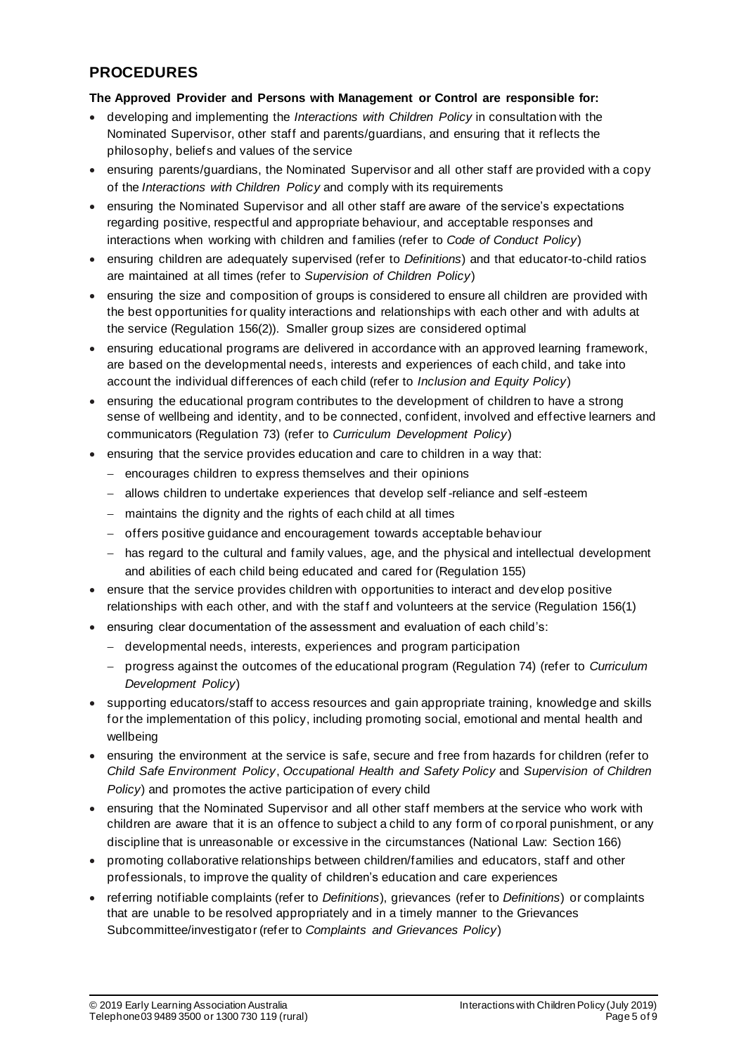# **PROCEDURES**

#### **The Approved Provider and Persons with Management or Control are responsible for:**

- developing and implementing the *Interactions with Children Policy* in consultation with the Nominated Supervisor, other staff and parents/guardians, and ensuring that it reflects the philosophy, belief s and values of the service
- ensuring parents/guardians, the Nominated Supervisor and all other staff are provided with a copy of the *Interactions with Children Policy* and comply with its requirements
- ensuring the Nominated Supervisor and all other staff are aware of the service's expectations regarding positive, respectful and appropriate behaviour, and acceptable responses and interactions when working with children and families (refer to *Code of Conduct Policy*)
- ensuring children are adequately supervised (refer to *Definitions*) and that educator-to-child ratios are maintained at all times (refer to *Supervision of Children Policy*)
- ensuring the size and composition of groups is considered to ensure all children are provided with the best opportunities for quality interactions and relationships with each other and with adults at the service (Regulation 156(2)). Smaller group sizes are considered optimal
- ensuring educational programs are delivered in accordance with an approved learning framework, are based on the developmental needs, interests and experiences of each child, and take into account the individual differences of each child (refer to *Inclusion and Equity Policy*)
- ensuring the educational program contributes to the development of children to have a strong sense of wellbeing and identity, and to be connected, confident, involved and effective learners and communicators (Regulation 73) (refer to *Curriculum Development Policy*)
- ensuring that the service provides education and care to children in a way that:
	- − encourages children to express themselves and their opinions
	- − allows children to undertake experiences that develop self -reliance and self-esteem
	- − maintains the dignity and the rights of each child at all times
	- − offers positive guidance and encouragement towards acceptable behav iour
	- − has regard to the cultural and family values, age, and the physical and intellectual development and abilities of each child being educated and cared for (Regulation 155)
- ensure that the service provides children with opportunities to interact and develop positive relationships with each other, and with the staff and volunteers at the service (Regulation 156(1)
- ensuring clear documentation of the assessment and evaluation of each child's:
	- − developmental needs, interests, experiences and program participation
	- − progress against the outcomes of the educational program (Regulation 74) (refer to *Curriculum Development Policy*)
- supporting educators/staff to access resources and gain appropriate training, knowledge and skills for the implementation of this policy, including promoting social, emotional and mental health and wellbeing
- ensuring the environment at the service is safe, secure and free from hazards for children (refer to *Child Safe Environment Policy*, *Occupational Health and Safety Policy* and *Supervision of Children Policy*) and promotes the active participation of every child
- ensuring that the Nominated Supervisor and all other staff members at the service who work with children are aware that it is an offence to subject a child to any form of co rporal punishment, or any discipline that is unreasonable or excessive in the circumstances (National Law: Section 166)
- promoting collaborative relationships between children/families and educators, staff and other professionals, to improve the quality of children's education and care experiences
- referring notifiable complaints (refer to *Definitions*), grievances (refer to *Definitions*) or complaints that are unable to be resolved appropriately and in a timely manner to the Grievances Subcommittee/investigator (refer to *Complaints and Grievances Policy*)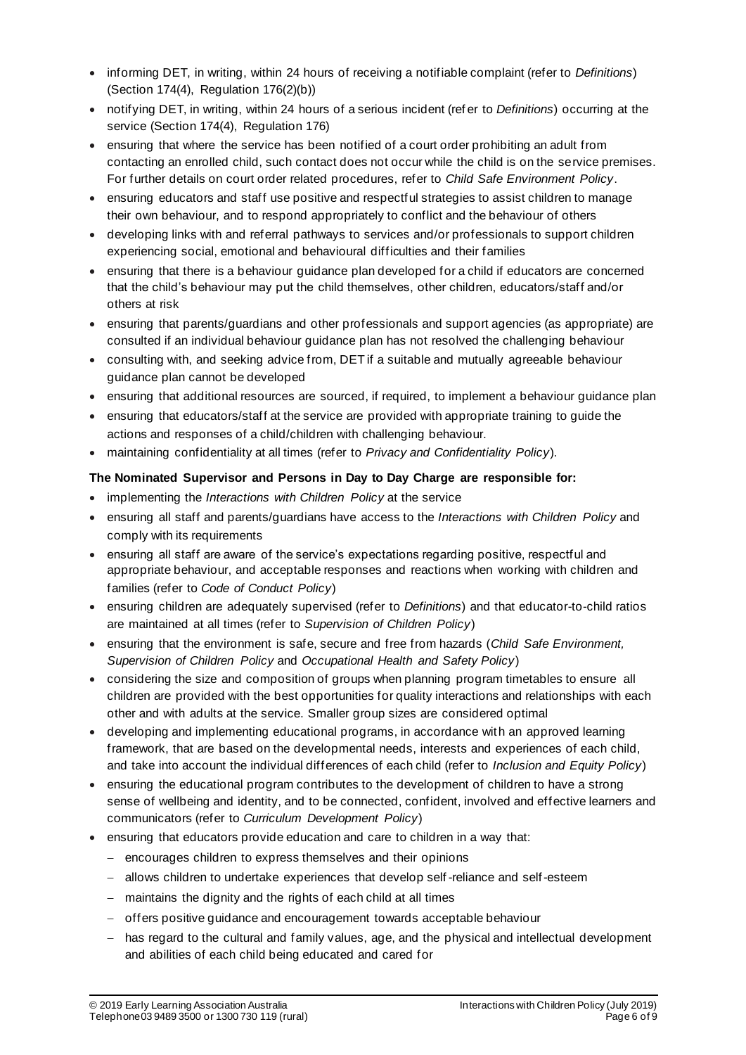- informing DET, in writing, within 24 hours of receiving a notifiable complaint (refer to *Definitions*) (Section 174(4), Regulation 176(2)(b))
- notifying DET, in writing, within 24 hours of a serious incident (ref er to *Definitions*) occurring at the service (Section 174(4), Regulation 176)
- ensuring that where the service has been notified of a court order prohibiting an adult from contacting an enrolled child, such contact does not occur while the child is on the service premises. For further details on court order related procedures, refer to *Child Safe Environment Policy*.
- ensuring educators and staff use positive and respectful strategies to assist children to manage their own behaviour, and to respond appropriately to conflict and the behaviour of others
- developing links with and referral pathways to services and/or professionals to support children experiencing social, emotional and behavioural difficulties and their families
- ensuring that there is a behaviour guidance plan developed for a child if educators are concerned that the child's behaviour may put the child themselves, other children, educators/staff and/or others at risk
- ensuring that parents/guardians and other professionals and support agencies (as appropriate) are consulted if an individual behaviour guidance plan has not resolved the challenging behaviour
- consulting with, and seeking advice from, DET if a suitable and mutually agreeable behaviour guidance plan cannot be developed
- ensuring that additional resources are sourced, if required, to implement a behaviour guidance plan
- ensuring that educators/staff at the service are provided with appropriate training to guide the actions and responses of a child/children with challenging behaviour.
- maintaining confidentiality at all times (refer to *Privacy and Confidentiality Policy*).

#### **The Nominated Supervisor and Persons in Day to Day Charge are responsible for:**

- implementing the *Interactions with Children Policy* at the service
- ensuring all staff and parents/guardians have access to the *Interactions with Children Policy* and comply with its requirements
- ensuring all staff are aware of the service's expectations regarding positive, respectful and appropriate behaviour, and acceptable responses and reactions when working with children and families (refer to *Code of Conduct Policy*)
- ensuring children are adequately supervised (refer to *Definitions*) and that educator-to-child ratios are maintained at all times (refer to *Supervision of Children Policy*)
- ensuring that the environment is safe, secure and free from hazards (*Child Safe Environment, Supervision of Children Policy* and *Occupational Health and Safety Policy*)
- considering the size and composition of groups when planning program timetables to ensure all children are provided with the best opportunities for quality interactions and relationships with each other and with adults at the service. Smaller group sizes are considered optimal
- developing and implementing educational programs, in accordance with an approved learning framework, that are based on the developmental needs, interests and experiences of each child, and take into account the individual differences of each child (refer to *Inclusion and Equity Policy*)
- ensuring the educational program contributes to the development of children to have a strong sense of wellbeing and identity, and to be connected, confident, involved and effective learners and communicators (refer to *Curriculum Development Policy*)
- ensuring that educators provide education and care to children in a way that:
	- − encourages children to express themselves and their opinions
	- − allows children to undertake experiences that develop self -reliance and self-esteem
	- − maintains the dignity and the rights of each child at all times
	- − offers positive guidance and encouragement towards acceptable behaviour
	- − has regard to the cultural and family values, age, and the physical and intellectual development and abilities of each child being educated and cared for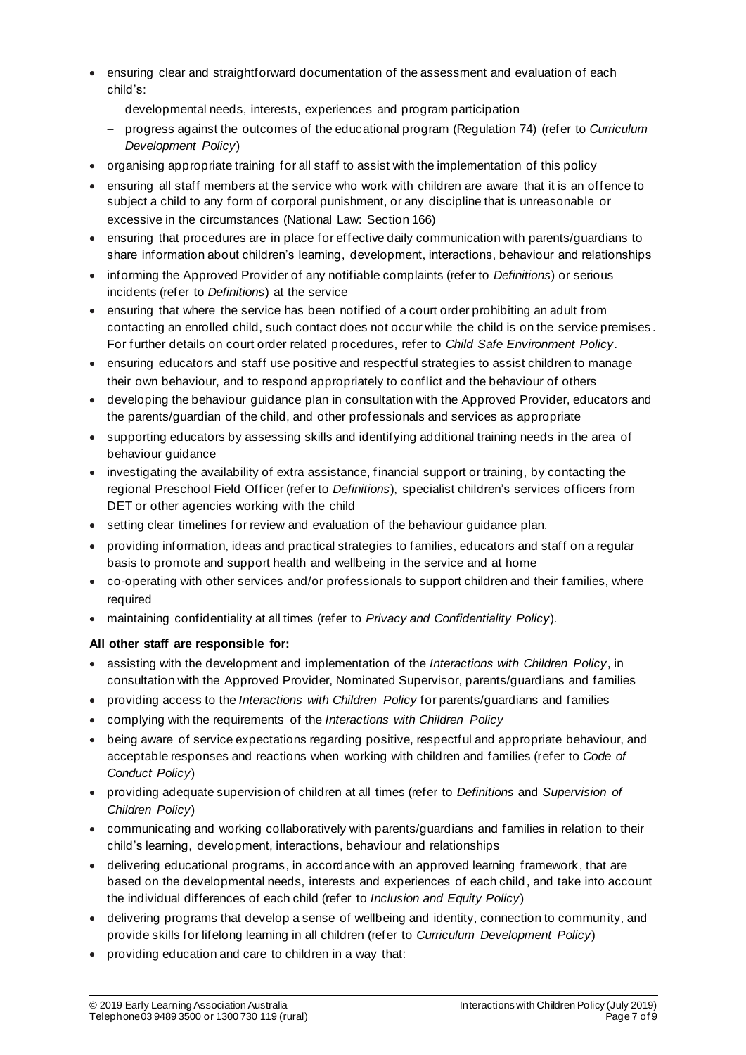- ensuring clear and straightforward documentation of the assessment and evaluation of each child's:
	- − developmental needs, interests, experiences and program participation
	- − progress against the outcomes of the educational program (Regulation 74) (refer to *Curriculum Development Policy*)
- organising appropriate training for all staff to assist with the implementation of this policy
- ensuring all staff members at the service who work with children are aware that it is an offence to subject a child to any form of corporal punishment, or any discipline that is unreasonable or excessive in the circumstances (National Law: Section 166)
- ensuring that procedures are in place for effective daily communication with parents/guardians to share information about children's learning, development, interactions, behaviour and relationships
- informing the Approved Provider of any notifiable complaints (refer to *Definitions*) or serious incidents (refer to *Definitions*) at the service
- ensuring that where the service has been notified of a court order prohibiting an adult from contacting an enrolled child, such contact does not occur while the child is on the service premises . For further details on court order related procedures, refer to *Child Safe Environment Policy*.
- ensuring educators and staff use positive and respectful strategies to assist children to manage their own behaviour, and to respond appropriately to conflict and the behaviour of others
- developing the behaviour guidance plan in consultation with the Approved Provider, educators and the parents/guardian of the child, and other professionals and services as appropriate
- supporting educators by assessing skills and identifying additional training needs in the area of behaviour quidance
- investigating the availability of extra assistance, financial support or training, by contacting the regional Preschool Field Officer (refer to *Definitions*), specialist children's services officers from DET or other agencies working with the child
- setting clear timelines for review and evaluation of the behaviour guidance plan.
- providing information, ideas and practical strategies to families, educators and staff on a regular basis to promote and support health and wellbeing in the service and at home
- co-operating with other services and/or professionals to support children and their families, where required
- maintaining confidentiality at all times (refer to *Privacy and Confidentiality Policy*).

#### **All other staff are responsible for:**

- assisting with the development and implementation of the *Interactions with Children Policy*, in consultation with the Approved Provider, Nominated Supervisor, parents/guardians and families
- providing access to the *Interactions with Children Policy* for parents/guardians and families
- complying with the requirements of the *Interactions with Children Policy*
- being aware of service expectations regarding positive, respectful and appropriate behaviour, and acceptable responses and reactions when working with children and families (refer to *Code of Conduct Policy*)
- providing adequate supervision of children at all times (refer to *Definitions* and *Supervision of Children Policy*)
- communicating and working collaboratively with parents/guardians and families in relation to their child's learning, development, interactions, behaviour and relationships
- delivering educational programs, in accordance with an approved learning framework, that are based on the developmental needs, interests and experiences of each child , and take into account the individual differences of each child (refer to *Inclusion and Equity Policy*)
- delivering programs that develop a sense of wellbeing and identity, connection to community, and provide skills for lifelong learning in all children (refer to *Curriculum Development Policy*)
- providing education and care to children in a way that: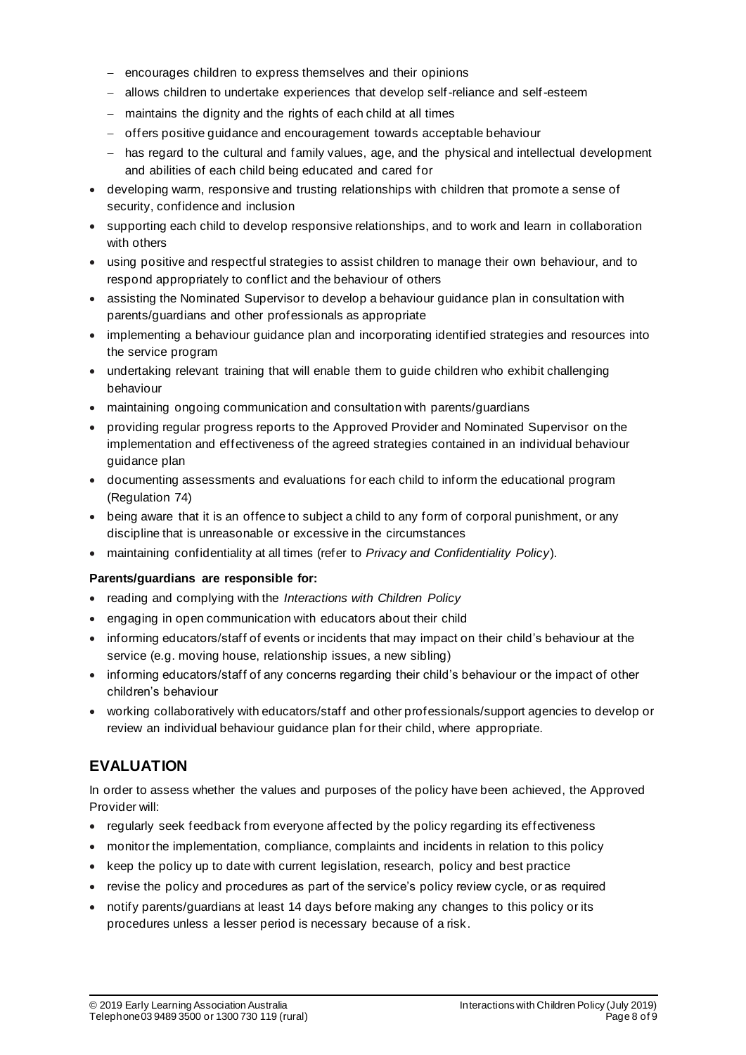- − encourages children to express themselves and their opinions
- − allows children to undertake experiences that develop self-reliance and self-esteem
- − maintains the dignity and the rights of each child at all times
- − offers positive guidance and encouragement towards acceptable behaviour
- − has regard to the cultural and family values, age, and the physical and intellectual development and abilities of each child being educated and cared for
- developing warm, responsive and trusting relationships with children that promote a sense of security, confidence and inclusion
- supporting each child to develop responsive relationships, and to work and learn in collaboration with others
- using positive and respectful strategies to assist children to manage their own behaviour, and to respond appropriately to conflict and the behaviour of others
- assisting the Nominated Supervisor to develop a behaviour guidance plan in consultation with parents/guardians and other professionals as appropriate
- implementing a behaviour guidance plan and incorporating identified strategies and resources into the service program
- undertaking relevant training that will enable them to guide children who exhibit challenging behaviour
- maintaining ongoing communication and consultation with parents/guardians
- providing regular progress reports to the Approved Provider and Nominated Supervisor on the implementation and effectiveness of the agreed strategies contained in an individual behaviour guidance plan
- documenting assessments and evaluations for each child to inform the educational program (Regulation 74)
- being aware that it is an offence to subject a child to any form of corporal punishment, or any discipline that is unreasonable or excessive in the circumstances
- maintaining confidentiality at all times (refer to *Privacy and Confidentiality Policy*).

#### **Parents/guardians are responsible for:**

- reading and complying with the *Interactions with Children Policy*
- engaging in open communication with educators about their child
- informing educators/staff of events or incidents that may impact on their child's behaviour at the service (e.g. moving house, relationship issues, a new sibling)
- informing educators/staff of any concerns regarding their child's behaviour or the impact of other children's behaviour
- working collaboratively with educators/staff and other professionals/support agencies to develop or review an individual behaviour guidance plan for their child, where appropriate.

## **EVALUATION**

In order to assess whether the values and purposes of the policy have been achieved, the Approved Provider will:

- regularly seek feedback from everyone affected by the policy regarding its effectiveness
- monitor the implementation, compliance, complaints and incidents in relation to this policy
- keep the policy up to date with current legislation, research, policy and best practice
- revise the policy and procedures as part of the service's policy review cycle, or as required
- notify parents/guardians at least 14 days before making any changes to this policy or its procedures unless a lesser period is necessary because of a risk.